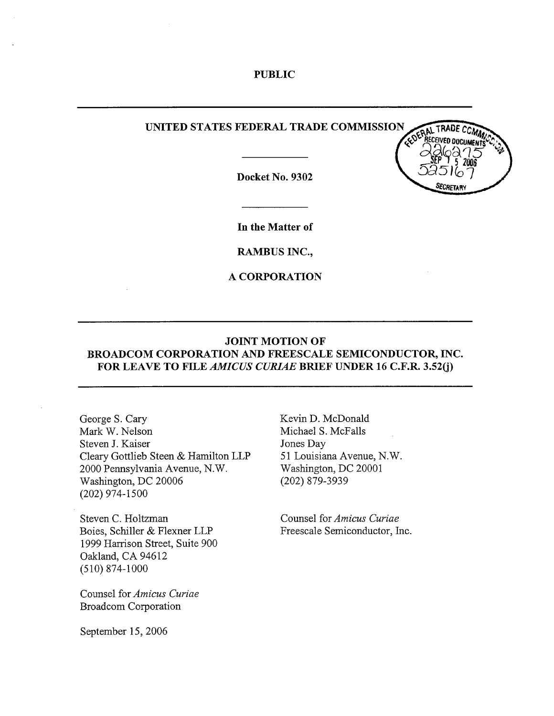#### PUBLIC

### UNITED STATES FEDERAL TRADE COMMISSION

Docket No. 9302



In the Matter of

RAMBUS INC.,

A CORPORATION

### JOINT MOTION OF BROADCOM CORPORATION AND FREESCALE SEMICONDUCTOR, INC. FOR LEAVE TO FILE AMICUS CURIAE BRIEF UNDER 16 C.F.R. 3.52(j)

George S. Cary Mark W. Nelson Steven J. Kaiser Cleary Gottlieb Steen & Hamilton LLP 2000 Pennsylvania Avenue, N. Washington, DC 20006 (202) 974- 1500

Steven C. Holtzman Boies, Schiller & Flexner LLP 1999 Harrison Street, Suite 900 Oakland, CA 94612 (510) 874- 1000

Counsel for Amicus Curiae Broadcom Corporation

Kevin D. McDonald Michael S. McFalls Jones Day 51 Louisiana Avenue, N. Washington, DC 20001 (202) 879-3939

Counsel for Amicus Curiae Freescale Semiconductor, Inc.

September 15, 2006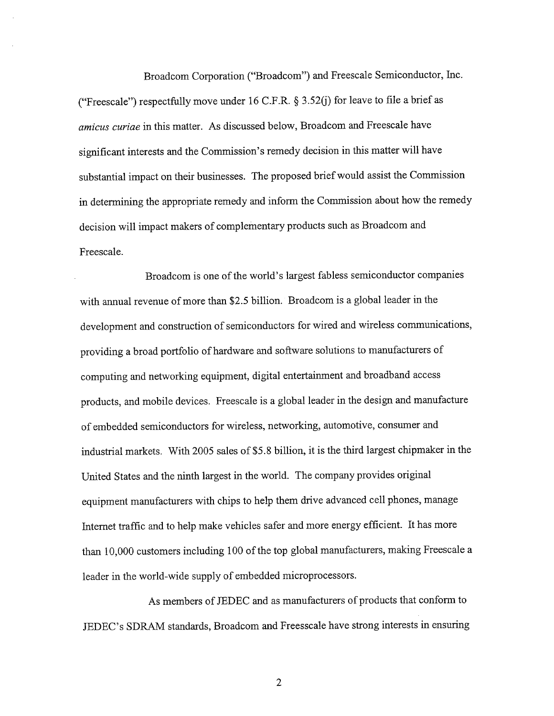Broadcom Corporation ("Broadcom") and Freescale Semiconductor, Inc. ("Freescale") respectfully move under 16 C.F.R.  $\S$  3.52(j) for leave to file a brief as amicus curiae in this matter. As discussed below, Broadcom and Freescale have significant interests and the Commission's remedy decision in this matter will have substantial impact on their businesses. The proposed brief would assist the Commission in determining the appropriate remedy and inform the Commission about how the remedy decision will impact makers of complementary products such as Broadcom and Freescale.

Broadcom is one of the world's largest fabless semiconductor companies with annual revenue of more than \$2.5 billion. Broadcom is a global leader in the development and construction of semiconductors for wired and wireless communications providing a broad portfolio of hardware and software solutions to manufacturers of computing and networking equipment, digital entertainment and broadband access products, and mobile devices. Freescale is a global leader in the design and manufacture of embedded semiconductors for wireless, networking, automotive, consumer and industrial markets. With 2005 sales of \$5.8 bilion, it is the third largest chipmaker in the United States and the ninth largest in the world. The company provides original equipment manufacturers with chips to help them drive advanced cell phones, manage Internet traffc and to help make vehicles safer and more energy efficient. It has more than 10,000 customers including 100 of the top global manufacturers, making Freescale a leader in the world-wide supply of embedded microprocessors.

As members of JEDEC and as manufacturers of products that conform to JEDEC's SDRAM standards, Broadcom and Freesscale have strong interests in ensuring

 $\overline{2}$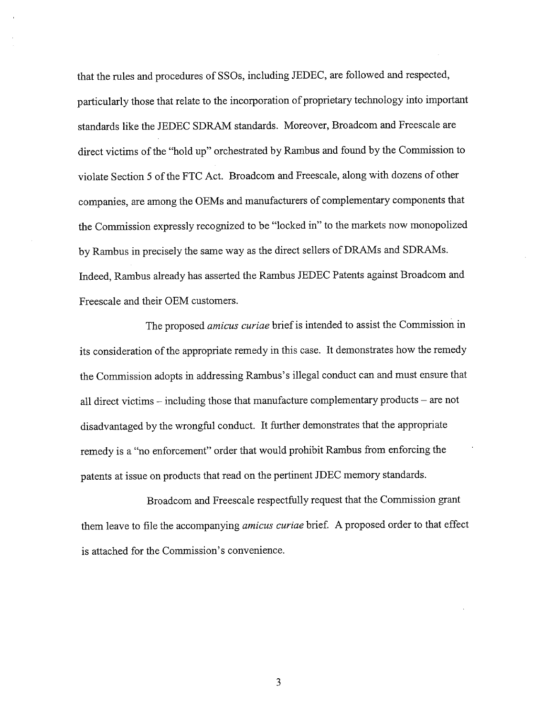that the rules and procedures of SSOs, including JEDEC, are followed and respected particularly those that relate to the incorporation of proprietary technology into important standards like the JEDEC SDRAM standards. Moreover, Broadcom and Freescale are direct victims of the "hold up" orchestrated by Rambus and found by the Commission to violate Section 5 of the FTC Act. Broadcom and Freescale, along with dozens of other companies, are among the OEMs and manufacturers of complementary components that the Commission expressly recognized to be "locked in" to the markets now monopolized by Rambus in precisely the same way as the direct sellers of DRAMs and SDRAMs. Indeed, Rambus already has asserted the Rambus JEDEC Patents against Broadcom and Freescale and their OEM customers.

The proposed amicus curiae brief is intended to assist the Commission in its consideration of the appropriate remedy in this case. It demonstrates how the remedy the Commission adopts in addressing Rambus's illegal conduct can and must ensure that all direct victims – including those that manufacture complementary products – are not disadvantaged by the wrongful conduct. It further demonstrates that the appropriate remedy is a "no enforcement" order that would prohibit Rambus from enforcing the patents at issue on products that read on the pertinent JDEC memory standards.

Broadcom and Freescale respectfully request that the Commission grant them leave to file the accompanying amicus curiae brief. A proposed order to that effect is attached for the Commission's convenience.

 $\overline{3}$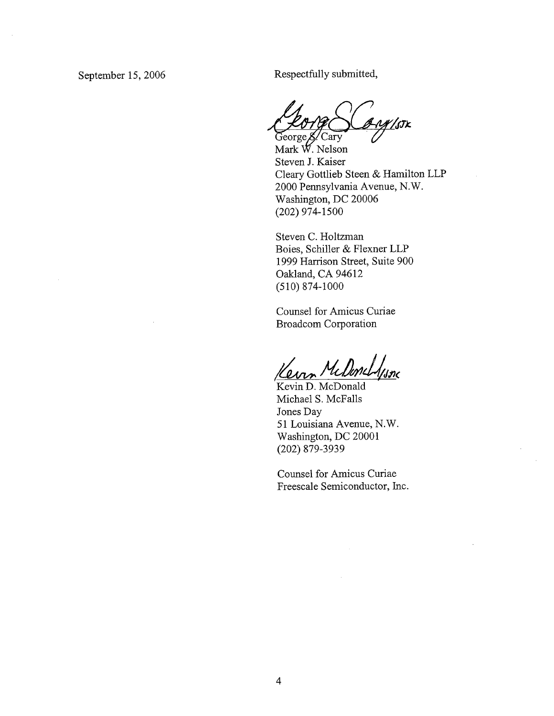September 15, 2006 Respectfully submitted,

YY/stk eorge & Cary

Mark W. Nelson Steven J. Kaiser Cleary Gottlieb Steen & Hamilton LLP 2000 Pennsylvania Avenue, N. Washington, DC 20006 (202) 974- 1500

Steven C. Holtzman Boies, Schiller & Flexner LLP 1999 Harrison Street, Suite 900 Oakland, CA 94612 (510) 874- 1000

Counsel for Amicus Curiae Broadcom Corporation

Kerrn McDonellisne

Kevin D. McDonald Michael S. McFalls Jones Day 51 Louisiana Avenue, N. Washington, DC 20001 (202) 879-3939

Counsel for Amicus Curiae Freescale Semiconductor, Inc.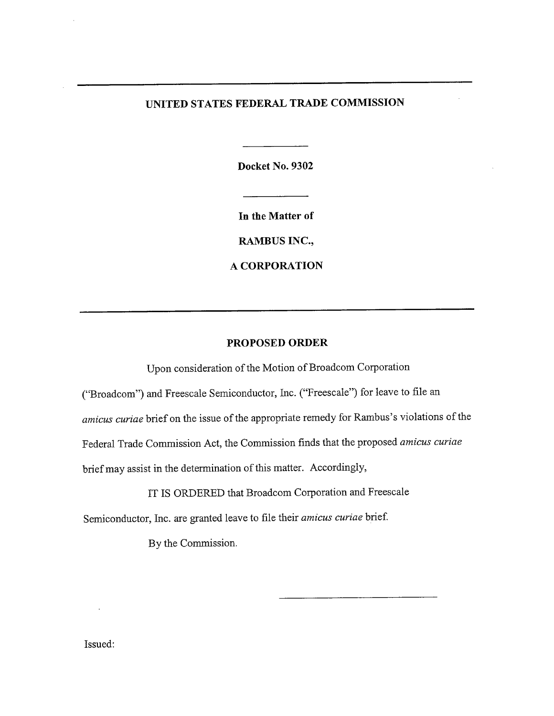# UNITED STATES FEDERAL TRADE COMMISSION

Docket No. 9302

In the Matter of

RAMBUS INC.,

A CORPORATION

# PROPOSED ORDER

Upon consideration of the Motion of Broadcom Corporation

("Broadcom") and Freescale Semiconductor, Inc. ("Freescale") for leave to file an amicus curiae brief on the issue of the appropriate remedy for Rambus's violations of the

Federal Trade Commission Act, the Commission finds that the proposed amicus curiae

brief may assist in the determination of this matter. Accordingly,

IT IS ORDERED that Broadcom Corporation and Freescale

Semiconductor, Inc. are granted leave to file their amicus curiae brief.

By the Commission.

Issued: